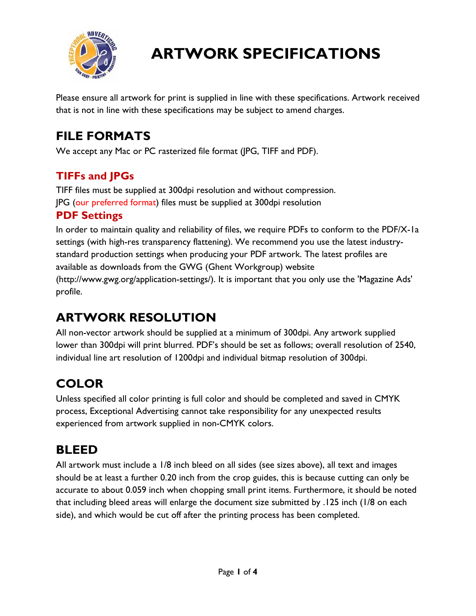

Please ensure all artwork for print is supplied in line with these specifications. Artwork received that is not in line with these specifications may be subject to amend charges.

## **FILE FORMATS**

We accept any Mac or PC rasterized file format (JPG, TIFF and PDF).

#### **TIFFs and JPGs**

TIFF files must be supplied at 300dpi resolution and without compression. JPG (our preferred format) files must be supplied at 300dpi resolution

#### **PDF Settings**

In order to maintain quality and reliability of files, we require PDFs to conform to the PDF/X-1a settings (with high-res transparency flattening). We recommend you use the latest industrystandard production settings when producing your PDF artwork. The latest profiles are available as downloads from the GWG (Ghent Workgroup) website (http://www.gwg.org/application-settings/). It is important that you only use the 'Magazine Ads' profile.

## **ARTWORK RESOLUTION**

All non-vector artwork should be supplied at a minimum of 300dpi. Any artwork supplied lower than 300dpi will print blurred. PDF's should be set as follows; overall resolution of 2540, individual line art resolution of 1200dpi and individual bitmap resolution of 300dpi.

## **COLOR**

Unless specified all color printing is full color and should be completed and saved in CMYK process, Exceptional Advertising cannot take responsibility for any unexpected results experienced from artwork supplied in non-CMYK colors.

#### **BLEED**

All artwork must include a 1/8 inch bleed on all sides (see sizes above), all text and images should be at least a further 0.20 inch from the crop guides, this is because cutting can only be accurate to about 0.059 inch when chopping small print items. Furthermore, it should be noted that including bleed areas will enlarge the document size submitted by .125 inch (1/8 on each side), and which would be cut off after the printing process has been completed.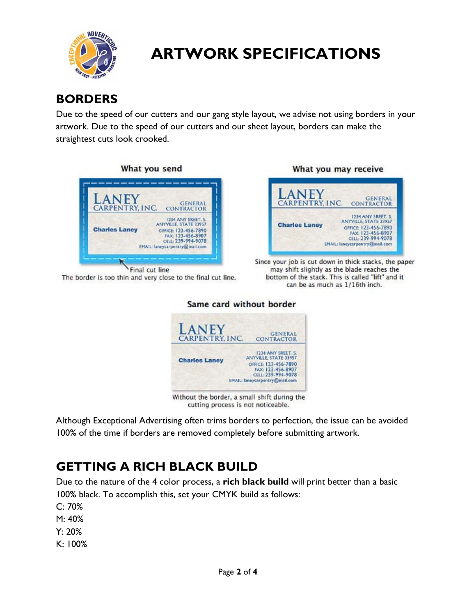

#### **BORDERS**

Due to the speed of our cutters and our gang style layout, we advise not using borders in your artwork. Due to the speed of our cutters and our sheet layout, borders can make the straightest cuts look crooked.



The border is too thin and very close to the final cut line.



Since your job is cut down in thick stacks, the paper may shift slightly as the blade reaches the bottom of the stack. This is called "lift" and it can be as much as 1/16th inch.

#### Same card without border



Without the border, a small shift during the cutting process is not noticeable.

Although Exceptional Advertising often trims borders to perfection, the issue can be avoided 100% of the time if borders are removed completely before submitting artwork.

#### **GETTING A RICH BLACK BUILD**

Due to the nature of the 4 color process, a **rich black build** will print better than a basic 100% black. To accomplish this, set your CMYK build as follows:

C: 70%

M: 40%

Y: 20%

K: 100%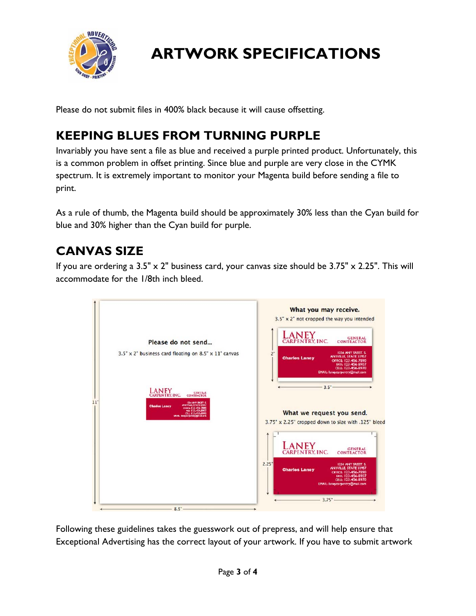

Please do not submit files in 400% black because it will cause offsetting.

#### **KEEPING BLUES FROM TURNING PURPLE**

Invariably you have sent a file as blue and received a purple printed product. Unfortunately, this is a common problem in offset printing. Since blue and purple are very close in the CYMK spectrum. It is extremely important to monitor your Magenta build before sending a file to print.

As a rule of thumb, the Magenta build should be approximately 30% less than the Cyan build for blue and 30% higher than the Cyan build for purple.

#### **CANVAS SIZE**

If you are ordering a  $3.5" \times 2"$  business card, your canvas size should be  $3.75" \times 2.25"$ . This will accommodate for the 1/8th inch bleed.



Following these guidelines takes the guesswork out of prepress, and will help ensure that Exceptional Advertising has the correct layout of your artwork. If you have to submit artwork